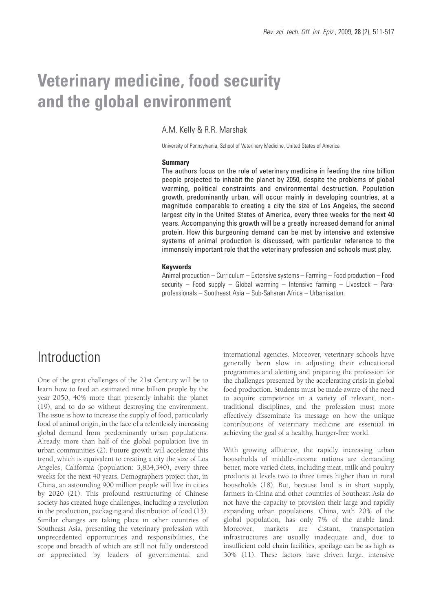# **Veterinary medicine, food security and the global environment**

### A.M. Kelly & R.R. Marshak

University of Pennsylvania, School of Veterinary Medicine, United States of America

#### **Summary**

The authors focus on the role of veterinary medicine in feeding the nine billion people projected to inhabit the planet by 2050, despite the problems of global warming, political constraints and environmental destruction. Population growth, predominantly urban, will occur mainly in developing countries, at a magnitude comparable to creating a city the size of Los Angeles, the second largest city in the United States of America, every three weeks for the next 40 years. Accompanying this growth will be a greatly increased demand for animal protein. How this burgeoning demand can be met by intensive and extensive systems of animal production is discussed, with particular reference to the immensely important role that the veterinary profession and schools must play.

#### **Keywords**

Animal production – Curriculum – Extensive systems – Farming – Food production – Food security – Food supply – Global warming – Intensive farming – Livestock – Paraprofessionals – Southeast Asia – Sub-Saharan Africa – Urbanisation.

### Introduction

One of the great challenges of the 21st Century will be to learn how to feed an estimated nine billion people by the year 2050, 40% more than presently inhabit the planet (19), and to do so without destroying the environment. The issue is how to increase the supply of food, particularly food of animal origin, in the face of a relentlessly increasing global demand from predominantly urban populations. Already, more than half of the global population live in urban communities (2). Future growth will accelerate this trend, which is equivalent to creating a city the size of Los Angeles, California (population: 3,834,340), every three weeks for the next 40 years. Demographers project that, in China, an astounding 900 million people will live in cities by 2020 (21). This profound restructuring of Chinese society has created huge challenges, including a revolution in the production, packaging and distribution of food (13). Similar changes are taking place in other countries of Southeast Asia, presenting the veterinary profession with unprecedented opportunities and responsibilities, the scope and breadth of which are still not fully understood or appreciated by leaders of governmental and international agencies. Moreover, veterinary schools have generally been slow in adjusting their educational programmes and alerting and preparing the profession for the challenges presented by the accelerating crisis in global food production. Students must be made aware of the need to acquire competence in a variety of relevant, nontraditional disciplines, and the profession must more effectively disseminate its message on how the unique contributions of veterinary medicine are essential in achieving the goal of a healthy, hunger-free world.

With growing affluence, the rapidly increasing urban households of middle-income nations are demanding better, more varied diets, including meat, milk and poultry products at levels two to three times higher than in rural households (18). But, because land is in short supply, farmers in China and other countries of Southeast Asia do not have the capacity to provision their large and rapidly expanding urban populations. China, with 20% of the global population, has only 7% of the arable land. Moreover, markets are distant, transportation infrastructures are usually inadequate and, due to insufficient cold chain facilities, spoilage can be as high as 30% (11). These factors have driven large, intensive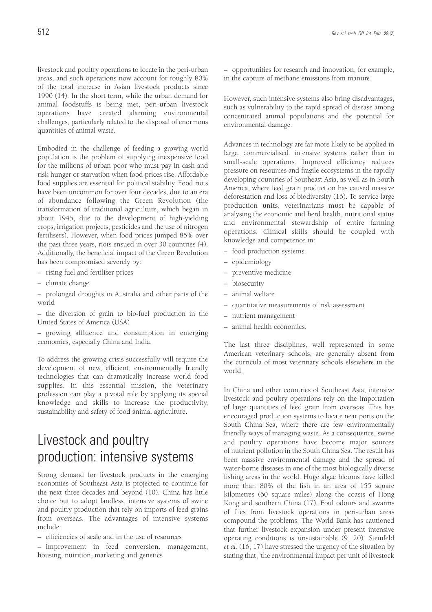livestock and poultry operations to locate in the peri-urban areas, and such operations now account for roughly 80% of the total increase in Asian livestock products since 1990 (14). In the short term, while the urban demand for animal foodstuffs is being met, peri-urban livestock operations have created alarming environmental challenges, particularly related to the disposal of enormous quantities of animal waste.

Embodied in the challenge of feeding a growing world population is the problem of supplying inexpensive food for the millions of urban poor who must pay in cash and risk hunger or starvation when food prices rise. Affordable food supplies are essential for political stability. Food riots have been uncommon for over four decades, due to an era of abundance following the Green Revolution (the transformation of traditional agriculture, which began in about 1945, due to the development of high-yielding crops, irrigation projects, pesticides and the use of nitrogen fertilisers). However, when food prices jumped 85% over the past three years, riots ensued in over 30 countries (4). Additionally, the beneficial impact of the Green Revolution has been compromised severely by:

– rising fuel and fertiliser prices

– climate change

– prolonged droughts in Australia and other parts of the world

– the diversion of grain to bio-fuel production in the United States of America (USA)

– growing affluence and consumption in emerging economies, especially China and India.

To address the growing crisis successfully will require the development of new, efficient, environmentally friendly technologies that can dramatically increase world food supplies. In this essential mission, the veterinary profession can play a pivotal role by applying its special knowledge and skills to increase the productivity, sustainability and safety of food animal agriculture.

# Livestock and poultry production: intensive systems

Strong demand for livestock products in the emerging economies of Southeast Asia is projected to continue for the next three decades and beyond (10). China has little choice but to adopt landless, intensive systems of swine and poultry production that rely on imports of feed grains from overseas. The advantages of intensive systems include:

– efficiencies of scale and in the use of resources

– improvement in feed conversion, management, housing, nutrition, marketing and genetics

– opportunities for research and innovation, for example, in the capture of methane emissions from manure.

However, such intensive systems also bring disadvantages, such as vulnerability to the rapid spread of disease among concentrated animal populations and the potential for environmental damage.

Advances in technology are far more likely to be applied in large, commercialised, intensive systems rather than in small-scale operations. Improved efficiency reduces pressure on resources and fragile ecosystems in the rapidly developing countries of Southeast Asia, as well as in South America, where feed grain production has caused massive deforestation and loss of biodiversity (16). To service large production units, veterinarians must be capable of analysing the economic and herd health, nutritional status and environmental stewardship of entire farming operations. Clinical skills should be coupled with knowledge and competence in:

- food production systems
- epidemiology
- preventive medicine
- biosecurity
- animal welfare
- quantitative measurements of risk assessment
- nutrient management
- animal health economics.

The last three disciplines, well represented in some American veterinary schools, are generally absent from the curricula of most veterinary schools elsewhere in the world.

In China and other countries of Southeast Asia, intensive livestock and poultry operations rely on the importation of large quantities of feed grain from overseas. This has encouraged production systems to locate near ports on the South China Sea, where there are few environmentally friendly ways of managing waste. As a consequence, swine and poultry operations have become major sources of nutrient pollution in the South China Sea. The result has been massive environmental damage and the spread of water-borne diseases in one of the most biologically diverse fishing areas in the world. Huge algae blooms have killed more than 80% of the fish in an area of 155 square kilometres (60 square miles) along the coasts of Hong Kong and southern China (17). Foul odours and swarms of flies from livestock operations in peri-urban areas compound the problems. The World Bank has cautioned that further livestock expansion under present intensive operating conditions is unsustainable (9, 20). Steinfeld *et al.* (16, 17) have stressed the urgency of the situation by stating that, 'the environmental impact per unit of livestock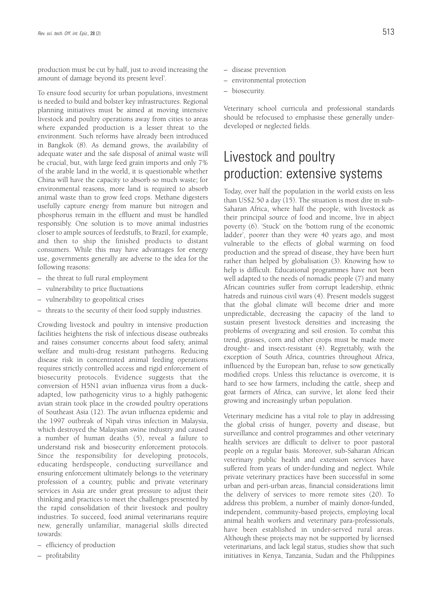production must be cut by half, just to avoid increasing the amount of damage beyond its present level'.

To ensure food security for urban populations, investment is needed to build and bolster key infrastructures. Regional planning initiatives must be aimed at moving intensive livestock and poultry operations away from cities to areas where expanded production is a lesser threat to the environment. Such reforms have already been introduced in Bangkok (8). As demand grows, the availability of adequate water and the safe disposal of animal waste will be crucial, but, with large feed grain imports and only 7% of the arable land in the world, it is questionable whether China will have the capacity to absorb so much waste; for environmental reasons, more land is required to absorb animal waste than to grow feed crops. Methane digesters usefully capture energy from manure but nitrogen and phosphorus remain in the effluent and must be handled responsibly. One solution is to move animal industries closer to ample sources of feedstuffs, to Brazil, for example, and then to ship the finished products to distant consumers. While this may have advantages for energy use, governments generally are adverse to the idea for the following reasons:

- the threat to full rural employment
- vulnerability to price fluctuations
- vulnerability to geopolitical crises
- threats to the security of their food supply industries.

Crowding livestock and poultry in intensive production facilities heightens the risk of infectious disease outbreaks and raises consumer concerns about food safety, animal welfare and multi-drug resistant pathogens. Reducing disease risk in concentrated animal feeding operations requires strictly controlled access and rigid enforcement of biosecurity protocols. Evidence suggests that the conversion of H5N1 avian influenza virus from a duckadapted, low pathogenicity virus to a highly pathogenic avian strain took place in the crowded poultry operations of Southeast Asia (12). The avian influenza epidemic and the 1997 outbreak of Nipah virus infection in Malaysia, which destroyed the Malaysian swine industry and caused a number of human deaths (5), reveal a failure to understand risk and biosecurity enforcement protocols. Since the responsibility for developing protocols, educating herdspeople, conducting surveillance and ensuring enforcement ultimately belongs to the veterinary profession of a country, public and private veterinary services in Asia are under great pressure to adjust their thinking and practices to meet the challenges presented by the rapid consolidation of their livestock and poultry industries. To succeed, food animal veterinarians require new, generally unfamiliar, managerial skills directed towards:

- efficiency of production
- profitability
- disease prevention
- environmental protection
- biosecurity.

Veterinary school curricula and professional standards should be refocused to emphasise these generally underdeveloped or neglected fields.

## Livestock and poultry production: extensive systems

Today, over half the population in the world exists on less than US\$2.50 a day (15). The situation is most dire in sub-Saharan Africa, where half the people, with livestock as their principal source of food and income, live in abject poverty (6). 'Stuck' on the 'bottom rung of the economic ladder', poorer than they were 40 years ago, and most vulnerable to the effects of global warming on food production and the spread of disease, they have been hurt rather than helped by globalisation (3). Knowing how to help is difficult. Educational programmes have not been well adapted to the needs of nomadic people (7) and many African countries suffer from corrupt leadership, ethnic hatreds and ruinous civil wars (4). Present models suggest that the global climate will become drier and more unpredictable, decreasing the capacity of the land to sustain present livestock densities and increasing the problems of overgrazing and soil erosion. To combat this trend, grasses, corn and other crops must be made more drought- and insect-resistant (4). Regrettably, with the exception of South Africa, countries throughout Africa, influenced by the European ban, refuse to sow genetically modified crops. Unless this reluctance is overcome, it is hard to see how farmers, including the cattle, sheep and goat farmers of Africa, can survive, let alone feed their growing and increasingly urban population.

Veterinary medicine has a vital role to play in addressing the global crisis of hunger, poverty and disease, but surveillance and control programmes and other veterinary health services are difficult to deliver to poor pastoral people on a regular basis. Moreover, sub-Saharan African veterinary public health and extension services have suffered from years of under-funding and neglect. While private veterinary practices have been successful in some urban and peri-urban areas, financial considerations limit the delivery of services to more remote sites (20). To address this problem, a number of mainly donor-funded, independent, community-based projects, employing local animal health workers and veterinary para-professionals, have been established in under-served rural areas. Although these projects may not be supported by licensed veterinarians, and lack legal status, studies show that such initiatives in Kenya, Tanzania, Sudan and the Philippines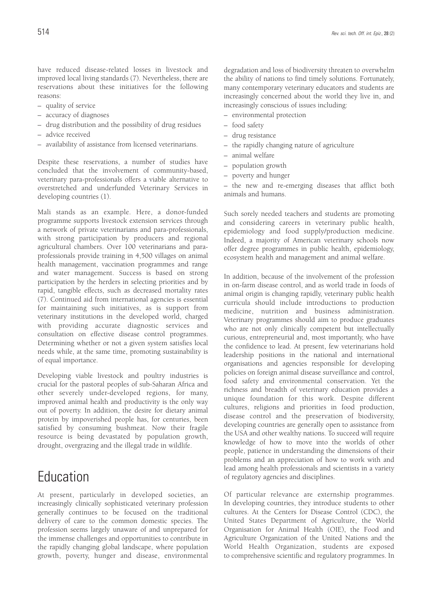have reduced disease-related losses in livestock and improved local living standards (7). Nevertheless, there are reservations about these initiatives for the following reasons:

- quality of service
- accuracy of diagnoses
- drug distribution and the possibility of drug residues
- advice received
- availability of assistance from licensed veterinarians.

Despite these reservations, a number of studies have concluded that the involvement of community-based, veterinary para-professionals offers a viable alternative to overstretched and underfunded Veterinary Services in developing countries (1).

Mali stands as an example. Here, a donor-funded programme supports livestock extension services through a network of private veterinarians and para-professionals, with strong participation by producers and regional agricultural chambers. Over 100 veterinarians and paraprofessionals provide training in 4,500 villages on animal health management, vaccination programmes and range and water management. Success is based on strong participation by the herders in selecting priorities and by rapid, tangible effects, such as decreased mortality rates (7). Continued aid from international agencies is essential for maintaining such initiatives, as is support from veterinary institutions in the developed world, charged with providing accurate diagnostic services and consultation on effective disease control programmes. Determining whether or not a given system satisfies local needs while, at the same time, promoting sustainability is of equal importance.

Developing viable livestock and poultry industries is crucial for the pastoral peoples of sub-Saharan Africa and other severely under-developed regions, for many, improved animal health and productivity is the only way out of poverty. In addition, the desire for dietary animal protein by impoverished people has, for centuries, been satisfied by consuming bushmeat. Now their fragile resource is being devastated by population growth, drought, overgrazing and the illegal trade in wildlife.

### Education

At present, particularly in developed societies, an increasingly clinically sophisticated veterinary profession generally continues to be focused on the traditional delivery of care to the common domestic species. The profession seems largely unaware of and unprepared for the immense challenges and opportunities to contribute in the rapidly changing global landscape, where population growth, poverty, hunger and disease, environmental degradation and loss of biodiversity threaten to overwhelm the ability of nations to find timely solutions. Fortunately, many contemporary veterinary educators and students are increasingly concerned about the world they live in, and increasingly conscious of issues including:

- environmental protection
- food safety
- drug resistance
- the rapidly changing nature of agriculture
- animal welfare
- population growth
- poverty and hunger

– the new and re-emerging diseases that afflict both animals and humans.

Such sorely needed teachers and students are promoting and considering careers in veterinary public health, epidemiology and food supply/production medicine. Indeed, a majority of American veterinary schools now offer degree programmes in public health, epidemiology, ecosystem health and management and animal welfare.

In addition, because of the involvement of the profession in on-farm disease control, and as world trade in foods of animal origin is changing rapidly, veterinary public health curricula should include introductions to production medicine, nutrition and business administration. Veterinary programmes should aim to produce graduates who are not only clinically competent but intellectually curious, entrepreneurial and, most importantly, who have the confidence to lead. At present, few veterinarians hold leadership positions in the national and international organisations and agencies responsible for developing policies on foreign animal disease surveillance and control, food safety and environmental conservation. Yet the richness and breadth of veterinary education provides a unique foundation for this work. Despite different cultures, religions and priorities in food production, disease control and the preservation of biodiversity, developing countries are generally open to assistance from the USA and other wealthy nations. To succeed will require knowledge of how to move into the worlds of other people, patience in understanding the dimensions of their problems and an appreciation of how to work with and lead among health professionals and scientists in a variety of regulatory agencies and disciplines.

Of particular relevance are externship programmes. In developing countries, they introduce students to other cultures. At the Centers for Disease Control (CDC), the United States Department of Agriculture, the World Organisation for Animal Health (OIE), the Food and Agriculture Organization of the United Nations and the World Health Organization, students are exposed to comprehensive scientific and regulatory programmes. In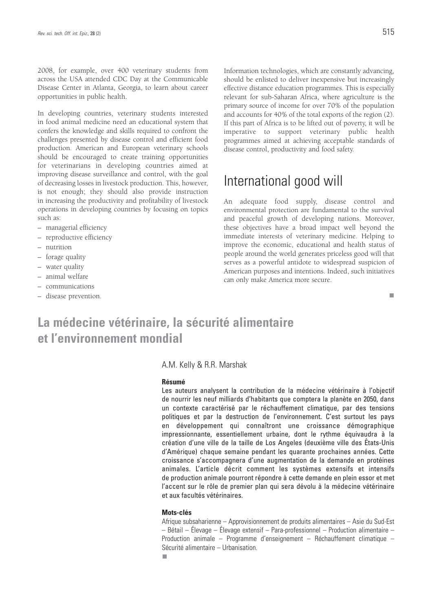2008, for example, over 400 veterinary students from across the USA attended CDC Day at the Communicable Disease Center in Atlanta, Georgia, to learn about career opportunities in public health.

In developing countries, veterinary students interested in food animal medicine need an educational system that confers the knowledge and skills required to confront the challenges presented by disease control and efficient food production. American and European veterinary schools should be encouraged to create training opportunities for veterinarians in developing countries aimed at improving disease surveillance and control, with the goal of decreasing losses in livestock production. This, however, is not enough; they should also provide instruction in increasing the productivity and profitability of livestock operations in developing countries by focusing on topics such as:

- managerial efficiency
- reproductive efficiency
- nutrition
- forage quality
- water quality
- animal welfare
- communications
- disease prevention.

Information technologies, which are constantly advancing, should be enlisted to deliver inexpensive but increasingly effective distance education programmes. This is especially relevant for sub-Saharan Africa, where agriculture is the primary source of income for over 70% of the population and accounts for 40% of the total exports of the region (2). If this part of Africa is to be lifted out of poverty, it will be imperative to support veterinary public health programmes aimed at achieving acceptable standards of disease control, productivity and food safety.

### International good will

An adequate food supply, disease control and environmental protection are fundamental to the survival and peaceful growth of developing nations. Moreover, these objectives have a broad impact well beyond the immediate interests of veterinary medicine. Helping to improve the economic, educational and health status of people around the world generates priceless good will that serves as a powerful antidote to widespread suspicion of American purposes and intentions. Indeed, such initiatives can only make America more secure.

П

### **La médecine vétérinaire, la sécurité alimentaire et l'environnement mondial**

#### A.M. Kelly & R.R. Marshak

#### **Résumé**

Les auteurs analysent la contribution de la médecine vétérinaire à l'objectif de nourrir les neuf milliards d'habitants que comptera la planète en 2050, dans un contexte caractérisé par le réchauffement climatique, par des tensions politiques et par la destruction de l'environnement. C'est surtout les pays en développement qui connaîtront une croissance démographique impressionnante, essentiellement urbaine, dont le rythme équivaudra à la création d'une ville de la taille de Los Angeles (deuxième ville des États-Unis d'Amérique) chaque semaine pendant les quarante prochaines années. Cette croissance s'accompagnera d'une augmentation de la demande en protéines animales. L'article décrit comment les systèmes extensifs et intensifs de production animale pourront répondre à cette demande en plein essor et met l'accent sur le rôle de premier plan qui sera dévolu à la médecine vétérinaire et aux facultés vétérinaires.

### **Mots-clés**

Afrique subsaharienne – Approvisionnement de produits alimentaires – Asie du Sud-Est – Bétail – Élevage – Élevage extensif – Para-professionnel – Production alimentaire – Production animale – Programme d'enseignement – Réchauffement climatique – Sécurité alimentaire – Urbanisation.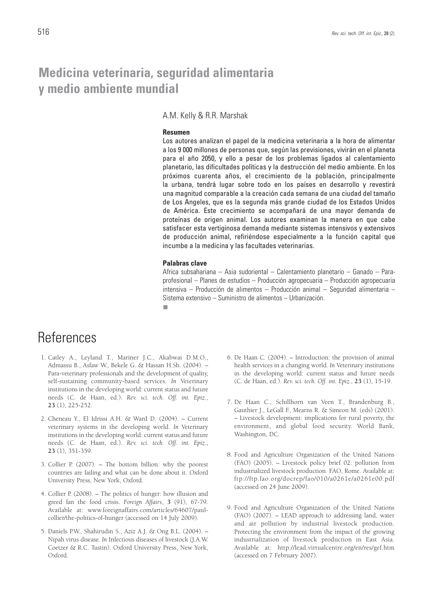### **Medicina veterinaria, seguridad alimentaria y medio ambiente mundial**

A.M. Kelly & R.R. Marshak

#### **Resumen**

Los autores analizan el papel de la medicina veterinaria a la hora de alimentar a los 9 000 millones de personas que, según las previsiones, vivirán en el planeta para el año 2050, y ello a pesar de los problemas ligados al calentamiento planetario, las dificultades políticas y la destrucción del medio ambiente. En los próximos cuarenta años, el crecimiento de la población, principalmente la urbana, tendrá lugar sobre todo en los países en desarrollo y revestirá una magnitud comparable a la creación cada semana de una ciudad del tamaño de Los Angeles, que es la segunda más grande ciudad de los Estados Unidos de América. Este crecimiento se acompañará de una mayor demanda de proteínas de origen animal. Los autores examinan la manera en que cabe satisfacer esta vertiginosa demanda mediante sistemas intensivos y extensivos de producción animal, refiriéndose especialmente a la función capital que incumbe a la medicina y las facultades veterinarias.

#### **Palabras clave**

Africa subsahariana – Asia sudoriental – Calentamiento planetario – Ganado – Paraprofesional – Planes de estudios – Producción agropecuaria – Producción agropecuaria intensiva – Producción de alimentos – Producción animal – Seguridad alimentaria – Sistema extensivo – Suministro de alimentos – Urbanización.

п

### References

- 1. Catley A., Leyland T., Mariner J.C., Akabwai D.M.O., Admassu B., Asfaw W., Bekele G. & Hassan H.Sh. (2004). – Para-veterinary professionals and the development of quality, self-sustaining community-based services. *In* Veterinary institutions in the developing world: current status and future needs (C. de Haan, ed.). *Rev. sci. tech. Off. int. Epiz.*, **23** (1), 225-252.
- 2. Cheneau Y., El Idrissi A.H. & Ward D. (2004). Current veterinary systems in the developing world. *In* Veterinary institutions in the developing world: current status and future needs (C. de Haan, ed.). *Rev. sci. tech. Off. int. Epiz.*, **23** (1), 351-359.
- 3. Collier P. (2007). The bottom billion: why the poorest countries are failing and what can be done about it. Oxford University Press, New York, Oxford.
- 4. Collier P. (2008). The politics of hunger: how illusion and greed fan the food crisis. *Foreign Affairs*, **3** (91), 67-79. Available at: www.foreignaffairs.com/articles/64607/paulcollier/the-politics-of-hunger (accessed on 14 July 2009).
- 5. Daniels P.W., Shahirudin S., Aziz A.J. & Ong B.L. (2004). Nipah virus disease*. In* Infectious diseases of livestock (J.A.W. Coetzer & R.C. Tustin). Oxford University Press, New York, Oxford.
- 6. De Haan C. (2004). Introduction: the provision of animal health services in a changing world*. In* Veterinary institutions in the developing world: current status and future needs (C. de Haan, ed.). *Rev. sci. tech. Off. int. Epiz.*, **23** (1), 15-19.
- 7. De Haan C., Schillhorn van Veen T., Brandenburg B., Gauthier J., LeGall F., Mearns R. & Simeon M. (eds) (2001). – Livestock development: implications for rural poverty, the environment, and global food security. World Bank, Washington, DC.
- 8. Food and Agriculture Organization of the United Nations (FAO) (2005). – Livestock policy brief 02: pollution from industrialized livestock production. FAO, Rome. Available at: ftp://ftp.fao.org/docrep/fao/010/a0261e/a0261e00.pdf (accessed on 24 June 2009).
- 9. Food and Agriculture Organization of the United Nations (FAO) (2007). – LEAD approach to addressing land, water and air pollution by industrial livestock production. Protecting the environment from the impact of the growing industrialization of livestock production in East Asia. Available at: http://lead.virtualcentre.org/en/res/gef.htm (accessed on 7 February 2007).